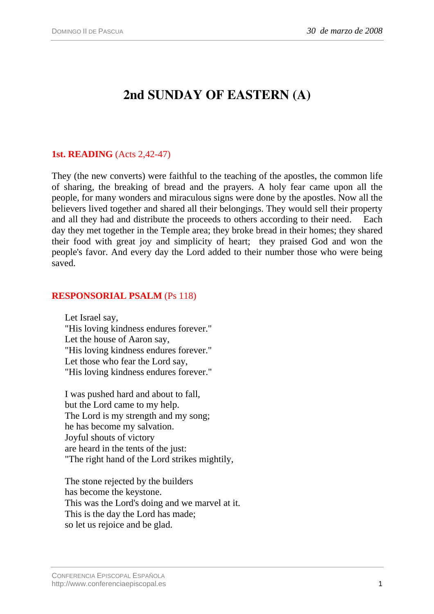# **2nd SUNDAY OF EASTERN (A)**

## **1st. READING** (Acts 2,42-47)

They (the new converts) were faithful to the teaching of the apostles, the common life of sharing, the breaking of bread and the prayers. A holy fear came upon all the people, for many wonders and miraculous signs were done by the apostles. Now all the believers lived together and shared all their belongings. They would sell their property and all they had and distribute the proceeds to others according to their need. Each day they met together in the Temple area; they broke bread in their homes; they shared their food with great joy and simplicity of heart; they praised God and won the people's favor. And every day the Lord added to their number those who were being saved.

### **RESPONSORIAL PSALM** (Ps 118)

Let Israel say, "His loving kindness endures forever." Let the house of Aaron say, "His loving kindness endures forever." Let those who fear the Lord say, "His loving kindness endures forever."

I was pushed hard and about to fall, but the Lord came to my help. The Lord is my strength and my song; he has become my salvation. Joyful shouts of victory are heard in the tents of the just: "The right hand of the Lord strikes mightily,

The stone rejected by the builders has become the keystone. This was the Lord's doing and we marvel at it. This is the day the Lord has made; so let us rejoice and be glad.